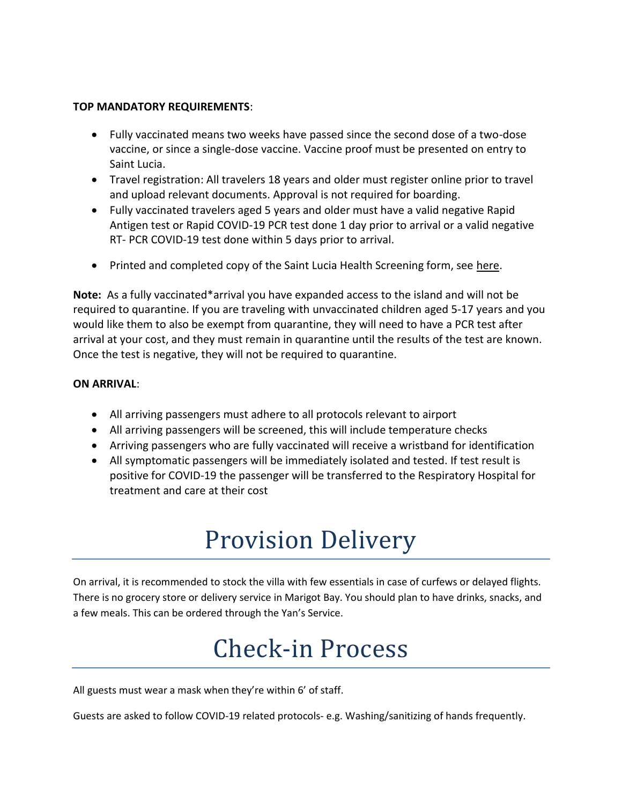### **TOP MANDATORY REQUIREMENTS**:

- Fully vaccinated means two weeks have passed since the second dose of a two-dose vaccine, or since a single-dose vaccine. Vaccine proof must be presented on entry to Saint Lucia.
- Travel registration: All travelers 18 years and older must register online prior to travel and upload relevant documents. Approval is not required for boarding.
- Fully vaccinated travelers aged 5 years and older must have a valid negative Rapid Antigen test or Rapid COVID-19 PCR test done 1 day prior to arrival or a valid negative RT- PCR COVID-19 test done within 5 days prior to arrival.
- Printed and completed copy of the Saint Lucia Health Screening form, see [here.](https://34a1ju2gva4u3yrm051vedfb-wpengine.netdna-ssl.com/wp-content/uploads/2022/03/SCREENING_QUESTIONNAIRE_Mar_2022.pdf)

**Note:** As a fully vaccinated\*arrival you have expanded access to the island and will not be required to quarantine. If you are traveling with unvaccinated children aged 5-17 years and you would like them to also be exempt from quarantine, they will need to have a PCR test after arrival at your cost, and they must remain in quarantine until the results of the test are known. Once the test is negative, they will not be required to quarantine.

### **ON ARRIVAL**:

- All arriving passengers must adhere to all protocols relevant to airport
- All arriving passengers will be screened, this will include temperature checks
- Arriving passengers who are fully vaccinated will receive a wristband for identification
- All symptomatic passengers will be immediately isolated and tested. If test result is positive for COVID-19 the passenger will be transferred to the Respiratory Hospital for treatment and care at their cost

# Provision Delivery

On arrival, it is recommended to stock the villa with few essentials in case of curfews or delayed flights. There is no grocery store or delivery service in Marigot Bay. You should plan to have drinks, snacks, and a few meals. This can be ordered through the Yan's Service.

# Check-in Process

All guests must wear a mask when they're within 6' of staff.

Guests are asked to follow COVID-19 related protocols- e.g. Washing/sanitizing of hands frequently.